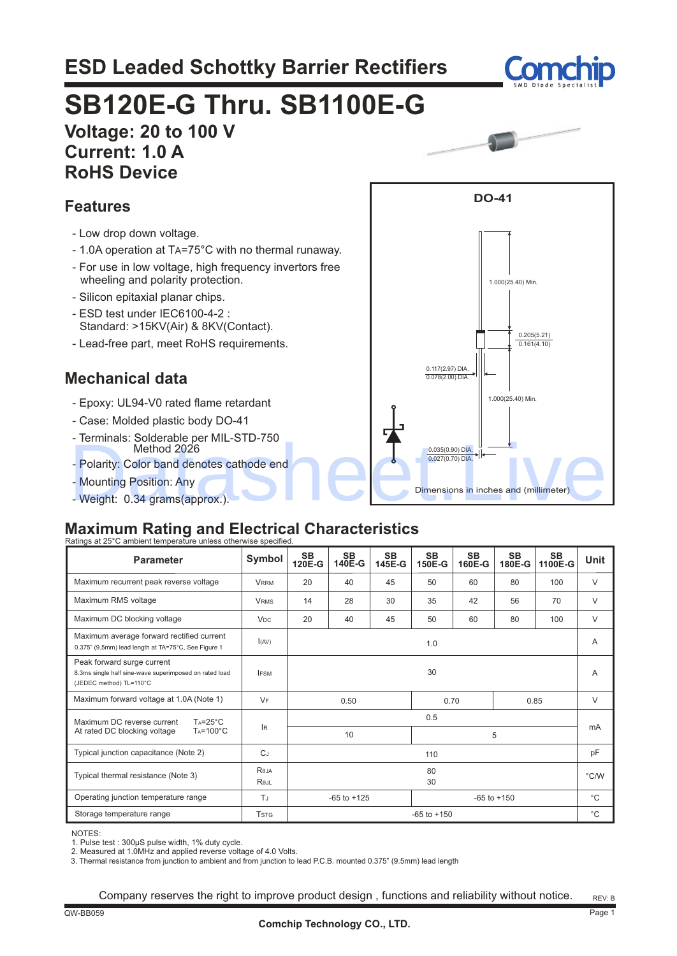# **ESD Leaded Schottky Barrier Rectifiers**



# **SB120E-G Thru. SB1100E-G**

## **Voltage: 20 to 100 V Current: 1.0 A RoHS Device**

## **Features**

- Low drop down voltage.
- 1.0A operation at TA=75°C with no thermal runaway.
- For use in low voltage, high frequency invertors free wheeling and polarity protection.
- Silicon epitaxial planar chips.
- ESD test under IEC6100-4-2 : Standard: >15KV(Air) & 8KV(Contact).
- Lead-free part, meet RoHS requirements.

## **Mechanical data**

- Epoxy: UL94-V0 rated flame retardant
- Case: Molded plastic body DO-41
- Terminals: Solderable per MIL-STD-750 Method 2026
- Polarity: Color band denotes cathode end
- Mounting Position: Any
- Weight: 0.34 grams(approx.).

#### **Maximum Rating and Electrical Characteristics** Ratings at 25°

| <b>Parameter</b>                                                                                                | Symbol                  | <b>SB</b><br>120E-G                | <b>SB</b><br>140E-G | <b>SB</b><br>145E-G | <b>SB</b><br>150E-G | <b>SB</b><br>160E-G | <b>SB</b><br>180E-G | <b>SB</b><br>1100E-G | <b>Unit</b> |
|-----------------------------------------------------------------------------------------------------------------|-------------------------|------------------------------------|---------------------|---------------------|---------------------|---------------------|---------------------|----------------------|-------------|
| Maximum recurrent peak reverse voltage                                                                          | <b>VRRM</b>             | 20                                 | 40                  | 45                  | 50                  | 60                  | 80                  | 100                  | $\vee$      |
| Maximum RMS voltage                                                                                             | <b>VRMS</b>             | 14                                 | 28                  | 30                  | 35                  | 42                  | 56                  | 70                   | $\vee$      |
| Maximum DC blocking voltage                                                                                     | <b>V<sub>DC</sub></b>   | 20                                 | 40                  | 45                  | 50                  | 60                  | 80                  | 100                  | $\vee$      |
| Maximum average forward rectified current<br>0.375" (9.5mm) lead length at TA=75°C, See Figure 1                | I(AV)                   |                                    |                     |                     | 1.0                 |                     |                     |                      | A           |
| Peak forward surge current<br>8.3ms single half sine-wave superimposed on rated load<br>(JEDEC method) TL=110°C | <b>IFSM</b>             | 30                                 |                     |                     | A                   |                     |                     |                      |             |
| Maximum forward voltage at 1.0A (Note 1)                                                                        | $V_F$                   | 0.50<br>0.70<br>0.85               |                     |                     | $\vee$              |                     |                     |                      |             |
| Maximum DC reverse current<br>$Ta = 25^{\circ}C$                                                                |                         | 0.5                                |                     |                     |                     |                     |                     |                      |             |
| $T_A = 100^{\circ}C$<br>At rated DC blocking voltage                                                            | lR.                     |                                    | 10                  |                     | 5                   |                     |                     |                      | mA          |
| Typical junction capacitance (Note 2)                                                                           | $C_J$                   | 110                                |                     |                     | pF                  |                     |                     |                      |             |
| Typical thermal resistance (Note 3)                                                                             | Reja<br>Rejl            | 80<br>30                           |                     |                     | $\degree$ C/W       |                     |                     |                      |             |
| Operating junction temperature range<br>TJ                                                                      |                         | $-65$ to $+125$<br>$-65$ to $+150$ |                     |                     |                     |                     |                     | $^{\circ}$ C         |             |
| Storage temperature range                                                                                       | <b>T</b> <sub>STG</sub> | $-65$ to $+150$                    |                     |                     |                     |                     |                     | $^{\circ}$ C         |             |

NOTES:

1. Pulse test : 300µS pulse width, 1% duty cycle. 2. Measured at 1.0MHz and applied reverse voltage of 4.0 Volts.

3. Thermal resistance from junction to ambient and from junction to lead P.C.B. mounted 0.375" (9.5mm) lead length

Company reserves the right to improve product design , functions and reliability without notice.

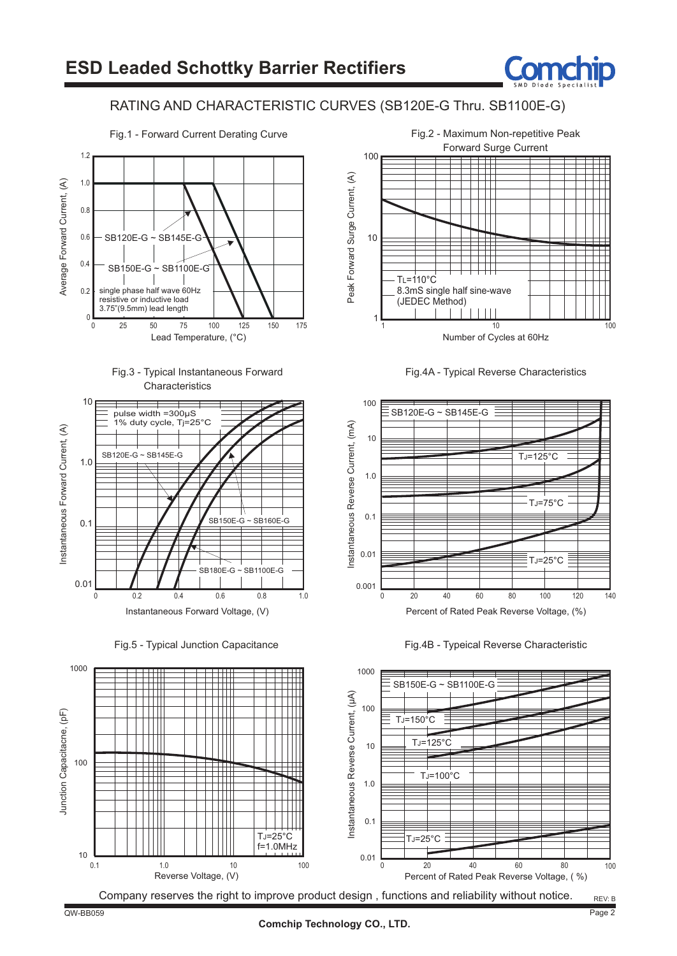

## RATING AND CHARACTERISTIC CURVES (SB120E-G Thru. SB1100E-G)









Fig.5 - Typical Junction Capacitance



Fig.4A - Typical Reverse Characteristics







#### QW-BB059 Page 2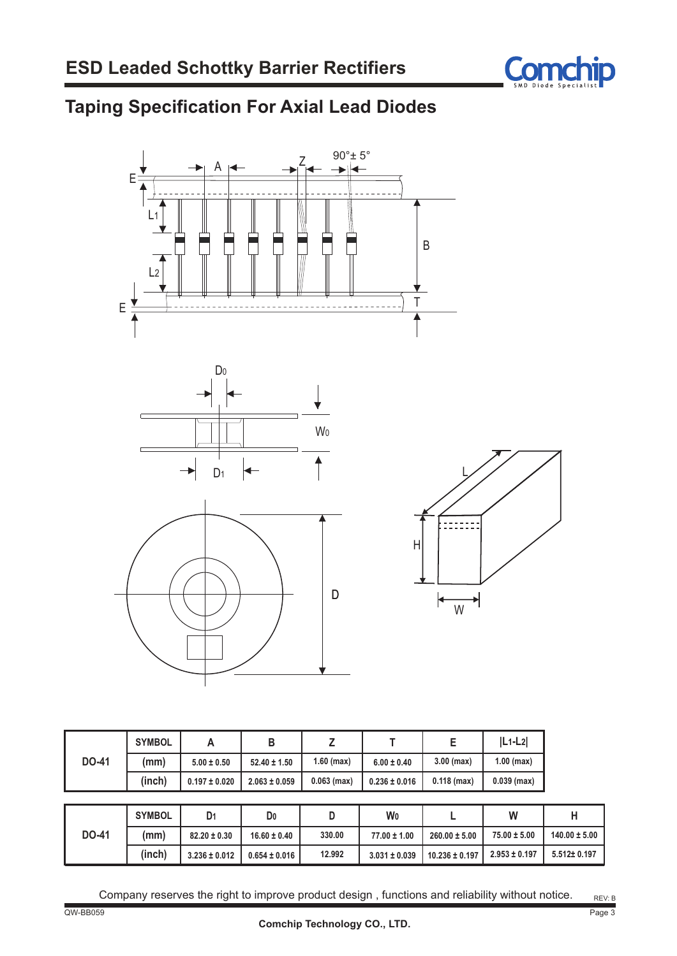

# **Taping Specification For Axial Lead Diodes**







![](_page_2_Figure_6.jpeg)

|              | <b>SYMBOL</b> |                   |                   |               |                   |               | $ L_1-L_2 $   |
|--------------|---------------|-------------------|-------------------|---------------|-------------------|---------------|---------------|
| <b>DO-41</b> | (mm)          | $5.00 \pm 0.50$   | $52.40 \pm 1.50$  | $1.60$ (max)  | $6.00 \pm 0.40$   | $3.00$ (max)  | $1.00$ (max)  |
|              | (inch)        | $0.197 \pm 0.020$ | $2.063 \pm 0.059$ | $0.063$ (max) | $0.236 \pm 0.016$ | $0.118$ (max) | $0.039$ (max) |

|              | <b>SYMBOL</b> | D1                | D <sub>0</sub>    |        | W0                |                    | W                 |                   |
|--------------|---------------|-------------------|-------------------|--------|-------------------|--------------------|-------------------|-------------------|
| <b>DO-41</b> | (mm)          | $82.20 \pm 0.30$  | $16.60 \pm 0.40$  | 330.00 | $77.00 \pm 1.00$  | $260.00 \pm 5.00$  | $75.00 \pm 5.00$  | $140.00 \pm 5.00$ |
|              | (inch)        | $3.236 \pm 0.012$ | $0.654 \pm 0.016$ | 12.992 | $3.031 \pm 0.039$ | $10.236 \pm 0.197$ | $2.953 \pm 0.197$ | 5.512± 0.197      |

Company reserves the right to improve product design , functions and reliability without notice.